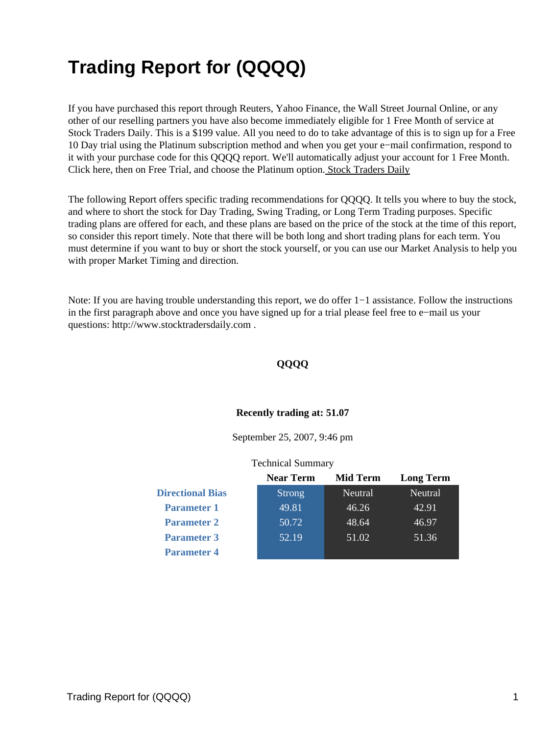# **Trading Report for (QQQQ)**

If you have purchased this report through Reuters, Yahoo Finance, the Wall Street Journal Online, or any other of our reselling partners you have also become immediately eligible for 1 Free Month of service at Stock Traders Daily. This is a \$199 value. All you need to do to take advantage of this is to sign up for a Free 10 Day trial using the Platinum subscription method and when you get your e−mail confirmation, respond to it with your purchase code for this QQQQ report. We'll automatically adjust your account for 1 Free Month. Click here, then on Free Trial, and choose the Platinum option[. Stock Traders Daily](http://www.stocktradersdaily.com/)

The following Report offers specific trading recommendations for QQQQ. It tells you where to buy the stock, and where to short the stock for Day Trading, Swing Trading, or Long Term Trading purposes. Specific trading plans are offered for each, and these plans are based on the price of the stock at the time of this report, so consider this report timely. Note that there will be both long and short trading plans for each term. You must determine if you want to buy or short the stock yourself, or you can use our Market Analysis to help you with proper Market Timing and direction.

Note: If you are having trouble understanding this report, we do offer 1−1 assistance. Follow the instructions in the first paragraph above and once you have signed up for a trial please feel free to e−mail us your questions: http://www.stocktradersdaily.com .

#### **QQQQ**

#### **Recently trading at: 51.07**

September 25, 2007, 9:46 pm

#### Technical Summary

|                         | <b>Near Term</b> | <b>Mid Term</b> | <b>Long Term</b> |
|-------------------------|------------------|-----------------|------------------|
| <b>Directional Bias</b> | <b>Strong</b>    | Neutral         | Neutral          |
| <b>Parameter 1</b>      | 49.81            | 46.26           | 42.91            |
| <b>Parameter 2</b>      | 50.72            | 48.64           | 46.97            |
| <b>Parameter 3</b>      | 52.19            | 51.02           | 51.36            |
| <b>Parameter 4</b>      |                  |                 |                  |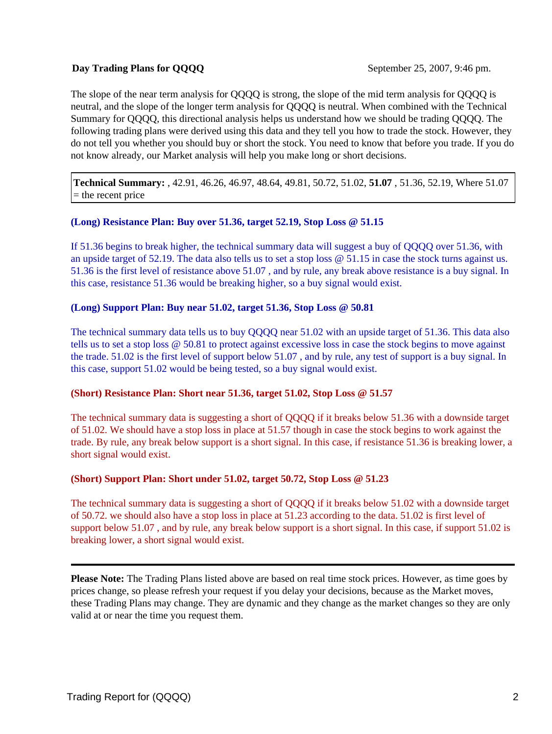# **Day Trading Plans for OOOO** September 25, 2007, 9:46 pm.

The slope of the near term analysis for QQQQ is strong, the slope of the mid term analysis for QQQQ is neutral, and the slope of the longer term analysis for QQQQ is neutral. When combined with the Technical Summary for QQQQ, this directional analysis helps us understand how we should be trading QQQQ. The following trading plans were derived using this data and they tell you how to trade the stock. However, they do not tell you whether you should buy or short the stock. You need to know that before you trade. If you do not know already, our Market analysis will help you make long or short decisions.

**Technical Summary:** , 42.91, 46.26, 46.97, 48.64, 49.81, 50.72, 51.02, **51.07** , 51.36, 52.19, Where 51.07  $=$  the recent price

# **(Long) Resistance Plan: Buy over 51.36, target 52.19, Stop Loss @ 51.15**

If 51.36 begins to break higher, the technical summary data will suggest a buy of QQQQ over 51.36, with an upside target of 52.19. The data also tells us to set a stop loss @ 51.15 in case the stock turns against us. 51.36 is the first level of resistance above 51.07 , and by rule, any break above resistance is a buy signal. In this case, resistance 51.36 would be breaking higher, so a buy signal would exist.

#### **(Long) Support Plan: Buy near 51.02, target 51.36, Stop Loss @ 50.81**

The technical summary data tells us to buy QQQQ near 51.02 with an upside target of 51.36. This data also tells us to set a stop loss @ 50.81 to protect against excessive loss in case the stock begins to move against the trade. 51.02 is the first level of support below 51.07 , and by rule, any test of support is a buy signal. In this case, support 51.02 would be being tested, so a buy signal would exist.

#### **(Short) Resistance Plan: Short near 51.36, target 51.02, Stop Loss @ 51.57**

The technical summary data is suggesting a short of QQQQ if it breaks below 51.36 with a downside target of 51.02. We should have a stop loss in place at 51.57 though in case the stock begins to work against the trade. By rule, any break below support is a short signal. In this case, if resistance 51.36 is breaking lower, a short signal would exist.

# **(Short) Support Plan: Short under 51.02, target 50.72, Stop Loss @ 51.23**

The technical summary data is suggesting a short of QQQQ if it breaks below 51.02 with a downside target of 50.72. we should also have a stop loss in place at 51.23 according to the data. 51.02 is first level of support below 51.07, and by rule, any break below support is a short signal. In this case, if support 51.02 is breaking lower, a short signal would exist.

**Please Note:** The Trading Plans listed above are based on real time stock prices. However, as time goes by prices change, so please refresh your request if you delay your decisions, because as the Market moves, these Trading Plans may change. They are dynamic and they change as the market changes so they are only valid at or near the time you request them.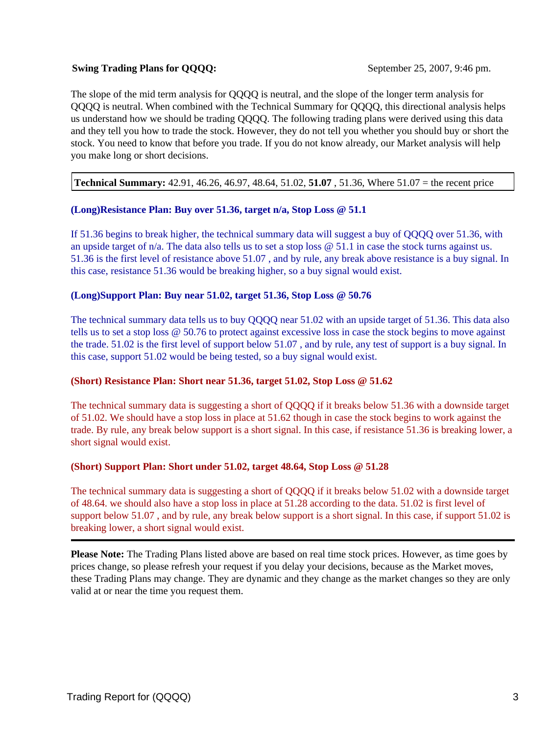# **Swing Trading Plans for OOOO:** September 25, 2007, 9:46 pm.

The slope of the mid term analysis for QQQQ is neutral, and the slope of the longer term analysis for QQQQ is neutral. When combined with the Technical Summary for QQQQ, this directional analysis helps us understand how we should be trading QQQQ. The following trading plans were derived using this data and they tell you how to trade the stock. However, they do not tell you whether you should buy or short the stock. You need to know that before you trade. If you do not know already, our Market analysis will help you make long or short decisions.

**Technical Summary:** 42.91, 46.26, 46.97, 48.64, 51.02, **51.07** , 51.36, Where 51.07 = the recent price

#### **(Long)Resistance Plan: Buy over 51.36, target n/a, Stop Loss @ 51.1**

If 51.36 begins to break higher, the technical summary data will suggest a buy of QQQQ over 51.36, with an upside target of  $n/a$ . The data also tells us to set a stop loss  $\omega$  51.1 in case the stock turns against us. 51.36 is the first level of resistance above 51.07 , and by rule, any break above resistance is a buy signal. In this case, resistance 51.36 would be breaking higher, so a buy signal would exist.

# **(Long)Support Plan: Buy near 51.02, target 51.36, Stop Loss @ 50.76**

The technical summary data tells us to buy QQQQ near 51.02 with an upside target of 51.36. This data also tells us to set a stop loss @ 50.76 to protect against excessive loss in case the stock begins to move against the trade. 51.02 is the first level of support below 51.07 , and by rule, any test of support is a buy signal. In this case, support 51.02 would be being tested, so a buy signal would exist.

#### **(Short) Resistance Plan: Short near 51.36, target 51.02, Stop Loss @ 51.62**

The technical summary data is suggesting a short of QQQQ if it breaks below 51.36 with a downside target of 51.02. We should have a stop loss in place at 51.62 though in case the stock begins to work against the trade. By rule, any break below support is a short signal. In this case, if resistance 51.36 is breaking lower, a short signal would exist.

# **(Short) Support Plan: Short under 51.02, target 48.64, Stop Loss @ 51.28**

The technical summary data is suggesting a short of QQQQ if it breaks below 51.02 with a downside target of 48.64. we should also have a stop loss in place at 51.28 according to the data. 51.02 is first level of support below 51.07, and by rule, any break below support is a short signal. In this case, if support 51.02 is breaking lower, a short signal would exist.

**Please Note:** The Trading Plans listed above are based on real time stock prices. However, as time goes by prices change, so please refresh your request if you delay your decisions, because as the Market moves, these Trading Plans may change. They are dynamic and they change as the market changes so they are only valid at or near the time you request them.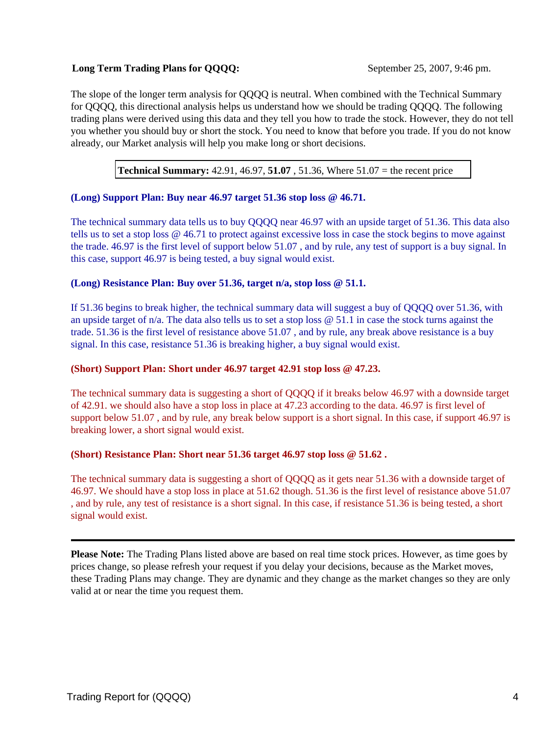# **Long Term Trading Plans for OOOO:** September 25, 2007, 9:46 pm.

The slope of the longer term analysis for QQQQ is neutral. When combined with the Technical Summary for QQQQ, this directional analysis helps us understand how we should be trading QQQQ. The following trading plans were derived using this data and they tell you how to trade the stock. However, they do not tell you whether you should buy or short the stock. You need to know that before you trade. If you do not know already, our Market analysis will help you make long or short decisions.

**Technical Summary:** 42.91, 46.97, **51.07** , 51.36, Where 51.07 = the recent price

# **(Long) Support Plan: Buy near 46.97 target 51.36 stop loss @ 46.71.**

The technical summary data tells us to buy QQQQ near 46.97 with an upside target of 51.36. This data also tells us to set a stop loss @ 46.71 to protect against excessive loss in case the stock begins to move against the trade. 46.97 is the first level of support below 51.07 , and by rule, any test of support is a buy signal. In this case, support 46.97 is being tested, a buy signal would exist.

# **(Long) Resistance Plan: Buy over 51.36, target n/a, stop loss @ 51.1.**

If 51.36 begins to break higher, the technical summary data will suggest a buy of QQQQ over 51.36, with an upside target of n/a. The data also tells us to set a stop loss @ 51.1 in case the stock turns against the trade. 51.36 is the first level of resistance above 51.07 , and by rule, any break above resistance is a buy signal. In this case, resistance 51.36 is breaking higher, a buy signal would exist.

#### **(Short) Support Plan: Short under 46.97 target 42.91 stop loss @ 47.23.**

The technical summary data is suggesting a short of QQQQ if it breaks below 46.97 with a downside target of 42.91. we should also have a stop loss in place at 47.23 according to the data. 46.97 is first level of support below 51.07 , and by rule, any break below support is a short signal. In this case, if support 46.97 is breaking lower, a short signal would exist.

#### **(Short) Resistance Plan: Short near 51.36 target 46.97 stop loss @ 51.62 .**

The technical summary data is suggesting a short of QQQQ as it gets near 51.36 with a downside target of 46.97. We should have a stop loss in place at 51.62 though. 51.36 is the first level of resistance above 51.07 , and by rule, any test of resistance is a short signal. In this case, if resistance 51.36 is being tested, a short signal would exist.

**Please Note:** The Trading Plans listed above are based on real time stock prices. However, as time goes by prices change, so please refresh your request if you delay your decisions, because as the Market moves, these Trading Plans may change. They are dynamic and they change as the market changes so they are only valid at or near the time you request them.